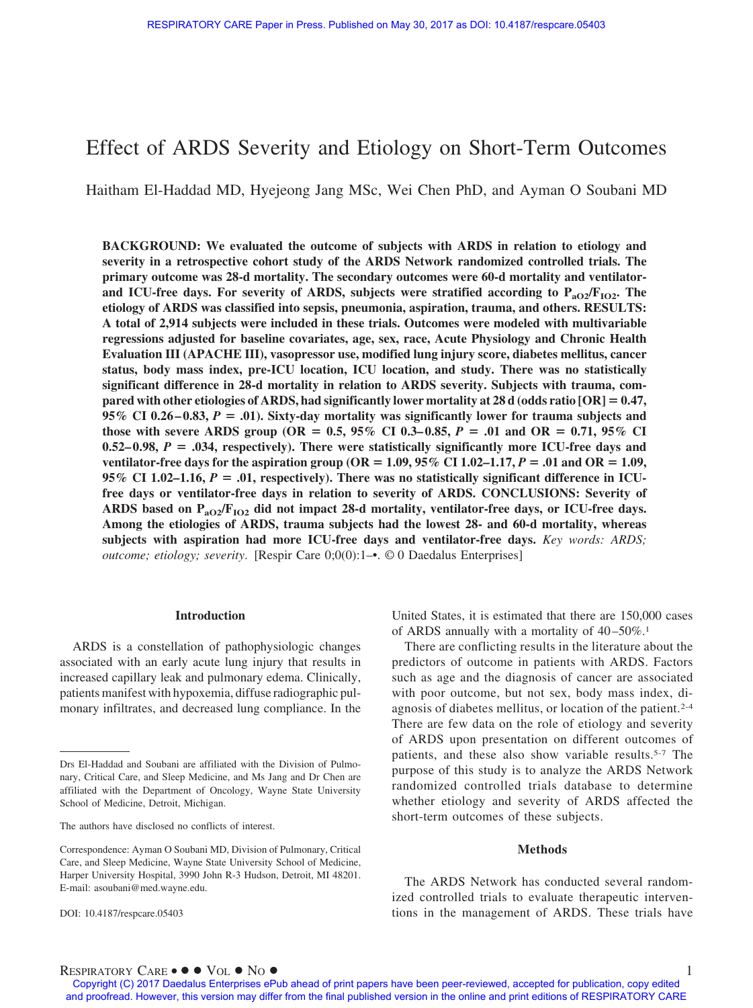# Effect of ARDS Severity and Etiology on Short-Term Outcomes

Haitham El-Haddad MD, Hyejeong Jang MSc, Wei Chen PhD, and Ayman O Soubani MD

**BACKGROUND: We evaluated the outcome of subjects with ARDS in relation to etiology and severity in a retrospective cohort study of the ARDS Network randomized controlled trials. The primary outcome was 28-d mortality. The secondary outcomes were 60-d mortality and ventilator**and ICU-free days. For severity of ARDS, subjects were stratified according to  $P_{aO2}/F_{1O2}$ . The **etiology of ARDS was classified into sepsis, pneumonia, aspiration, trauma, and others. RESULTS: A total of 2,914 subjects were included in these trials. Outcomes were modeled with multivariable regressions adjusted for baseline covariates, age, sex, race, Acute Physiology and Chronic Health Evaluation III (APACHE III), vasopressor use, modified lung injury score, diabetes mellitus, cancer status, body mass index, pre-ICU location, ICU location, and study. There was no statistically significant difference in 28-d mortality in relation to ARDS severity. Subjects with trauma, compared with other etiologies of ARDS, had significantly lower mortality at 28 d (odds ratio [OR]** - **0.47,**  $95\%$  CI 0.26–0.83,  $P = .01$ ). Sixty-day mortality was significantly lower for trauma subjects and **those with severe ARDS group (OR =**  $0.5$ **,**  $95\%$  **CI**  $0.3-0.85$ **,**  $P = .01$  **and OR =**  $0.71$ **,**  $95\%$  **CI**  $0.52-0.98$ ,  $P = .034$ , respectively). There were statistically significantly more ICU-free days and **ventilator-free days for the aspiration group (OR =**  $1.09$ **,**  $95\%$  **CI 1.02–1.17,**  $P = .01$  **and OR = 1.09, 95% CI 1.02–1.16,**  $P = .01$ **, respectively). There was no statistically significant difference in ICUfree days or ventilator-free days in relation to severity of ARDS. CONCLUSIONS: Severity of ARDS based on PaO2/FIO2 did not impact 28-d mortality, ventilator-free days, or ICU-free days. Among the etiologies of ARDS, trauma subjects had the lowest 28- and 60-d mortality, whereas subjects with aspiration had more ICU-free days and ventilator-free days.** *Key words: ARDS; outcome; etiology; severity*. [Respir Care 0;0(0):1–•. © 0 Daedalus Enterprises]

## **Introduction**

ARDS is a constellation of pathophysiologic changes associated with an early acute lung injury that results in increased capillary leak and pulmonary edema. Clinically, patients manifest with hypoxemia, diffuse radiographic pulmonary infiltrates, and decreased lung compliance. In the United States, it is estimated that there are 150,000 cases of ARDS annually with a mortality of  $40-50\%$ <sup>1</sup>

There are conflicting results in the literature about the predictors of outcome in patients with ARDS. Factors such as age and the diagnosis of cancer are associated with poor outcome, but not sex, body mass index, diagnosis of diabetes mellitus, or location of the patient.2-4 There are few data on the role of etiology and severity of ARDS upon presentation on different outcomes of patients, and these also show variable results.5-7 The purpose of this study is to analyze the ARDS Network randomized controlled trials database to determine whether etiology and severity of ARDS affected the short-term outcomes of these subjects.

#### **Methods**

The ARDS Network has conducted several randomized controlled trials to evaluate therapeutic interventions in the management of ARDS. These trials have

Drs El-Haddad and Soubani are affiliated with the Division of Pulmonary, Critical Care, and Sleep Medicine, and Ms Jang and Dr Chen are affiliated with the Department of Oncology, Wayne State University School of Medicine, Detroit, Michigan.

The authors have disclosed no conflicts of interest.

Correspondence: Ayman O Soubani MD, Division of Pulmonary, Critical Care, and Sleep Medicine, Wayne State University School of Medicine, Harper University Hospital, 3990 John R-3 Hudson, Detroit, MI 48201. E-mail: asoubani@med.wayne.edu.

DOI: 10.4187/respcare.05403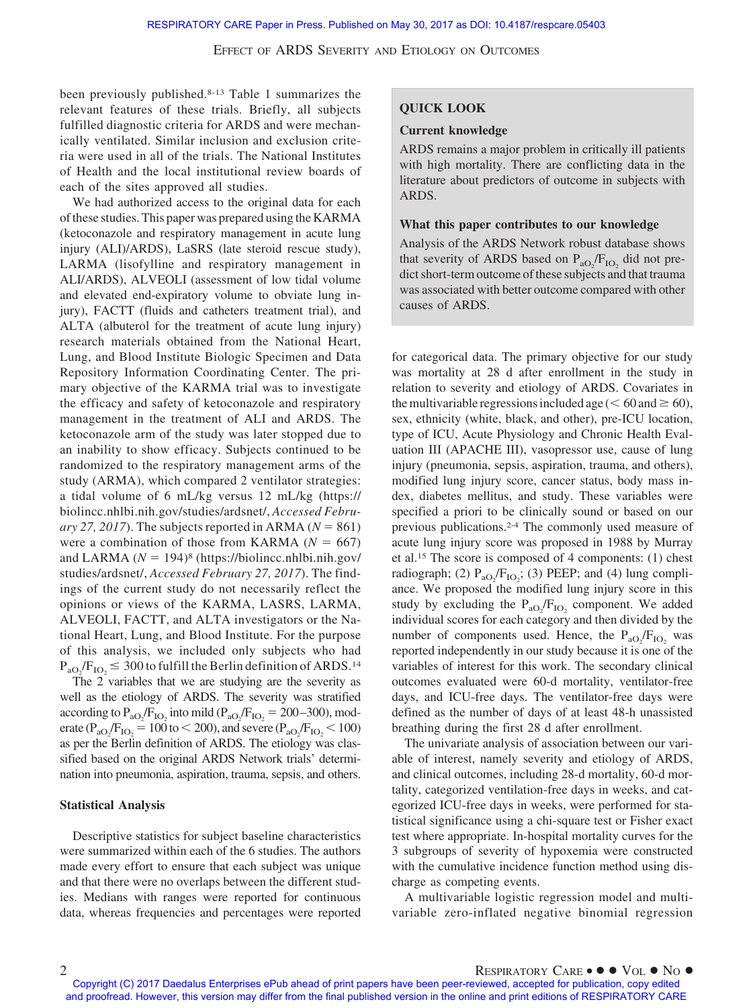been previously published.8-13 Table 1 summarizes the relevant features of these trials. Briefly, all subjects fulfilled diagnostic criteria for ARDS and were mechanically ventilated. Similar inclusion and exclusion criteria were used in all of the trials. The National Institutes of Health and the local institutional review boards of each of the sites approved all studies.

We had authorized access to the original data for each of these studies. This paper was prepared using the KARMA (ketoconazole and respiratory management in acute lung injury (ALI)/ARDS), LaSRS (late steroid rescue study), LARMA (lisofylline and respiratory management in ALI/ARDS), ALVEOLI (assessment of low tidal volume and elevated end-expiratory volume to obviate lung injury), FACTT (fluids and catheters treatment trial), and ALTA (albuterol for the treatment of acute lung injury) research materials obtained from the National Heart, Lung, and Blood Institute Biologic Specimen and Data Repository Information Coordinating Center. The primary objective of the KARMA trial was to investigate the efficacy and safety of ketoconazole and respiratory management in the treatment of ALI and ARDS. The ketoconazole arm of the study was later stopped due to an inability to show efficacy. Subjects continued to be randomized to the respiratory management arms of the study (ARMA), which compared 2 ventilator strategies: a tidal volume of 6 mL/kg versus 12 mL/kg (https:// biolincc.nhlbi.nih.gov/studies/ardsnet/, *Accessed Febru* $ary 27, 2017$ ). The subjects reported in ARMA ( $N = 861$ ) were a combination of those from KARMA  $(N = 667)$ and LARMA  $(N = 194)$ <sup>8</sup> (https://biolincc.nhlbi.nih.gov/ studies/ardsnet/, *Accessed February 27, 2017*). The findings of the current study do not necessarily reflect the opinions or views of the KARMA, LASRS, LARMA, ALVEOLI, FACTT, and ALTA investigators or the National Heart, Lung, and Blood Institute. For the purpose of this analysis, we included only subjects who had  $P_{aO_2}/F_{IO_2} \leq 300$  to fulfill the Berlin definition of ARDS.<sup>14</sup>

The 2 variables that we are studying are the severity as well as the etiology of ARDS. The severity was stratified according to  $P_{aO_2}/F_{IO_2}$  into mild ( $P_{aO_2}/F_{IO_2} = 200-300$ ), moderate ( $P_{aO_2}/F_{IO_2} = 100$  to  $< 200$ ), and severe ( $P_{aO_2}/F_{IO_2} < 100$ ) as per the Berlin definition of ARDS. The etiology was classified based on the original ARDS Network trials' determination into pneumonia, aspiration, trauma, sepsis, and others.

#### **Statistical Analysis**

Descriptive statistics for subject baseline characteristics were summarized within each of the 6 studies. The authors made every effort to ensure that each subject was unique and that there were no overlaps between the different studies. Medians with ranges were reported for continuous data, whereas frequencies and percentages were reported

# **QUICK LOOK**

#### **Current knowledge**

ARDS remains a major problem in critically ill patients with high mortality. There are conflicting data in the literature about predictors of outcome in subjects with ARDS.

## **What this paper contributes to our knowledge**

Analysis of the ARDS Network robust database shows that severity of ARDS based on  $P_{aO_2}/F_{IO_2}$  did not predict short-term outcome of these subjects and that trauma was associated with better outcome compared with other causes of ARDS.

for categorical data. The primary objective for our study was mortality at 28 d after enrollment in the study in relation to severity and etiology of ARDS. Covariates in the multivariable regressions included age ( $\leq 60$  and  $\geq 60$ ), sex, ethnicity (white, black, and other), pre-ICU location, type of ICU, Acute Physiology and Chronic Health Evaluation III (APACHE III), vasopressor use, cause of lung injury (pneumonia, sepsis, aspiration, trauma, and others), modified lung injury score, cancer status, body mass index, diabetes mellitus, and study. These variables were specified a priori to be clinically sound or based on our previous publications.2-4 The commonly used measure of acute lung injury score was proposed in 1988 by Murray et al.15 The score is composed of 4 components: (1) chest radiograph; (2)  $P_{aO_2}/F_{IO_2}$ ; (3) PEEP; and (4) lung compliance. We proposed the modified lung injury score in this study by excluding the  $P_{aO_2}/F_{IO_2}$  component. We added individual scores for each category and then divided by the number of components used. Hence, the  $P_{aO_2}/F_{IO_2}$  was reported independently in our study because it is one of the variables of interest for this work. The secondary clinical outcomes evaluated were 60-d mortality, ventilator-free days, and ICU-free days. The ventilator-free days were defined as the number of days of at least 48-h unassisted breathing during the first 28 d after enrollment.

The univariate analysis of association between our variable of interest, namely severity and etiology of ARDS, and clinical outcomes, including 28-d mortality, 60-d mortality, categorized ventilation-free days in weeks, and categorized ICU-free days in weeks, were performed for statistical significance using a chi-square test or Fisher exact test where appropriate. In-hospital mortality curves for the 3 subgroups of severity of hypoxemia were constructed with the cumulative incidence function method using discharge as competing events.

A multivariable logistic regression model and multivariable zero-inflated negative binomial regression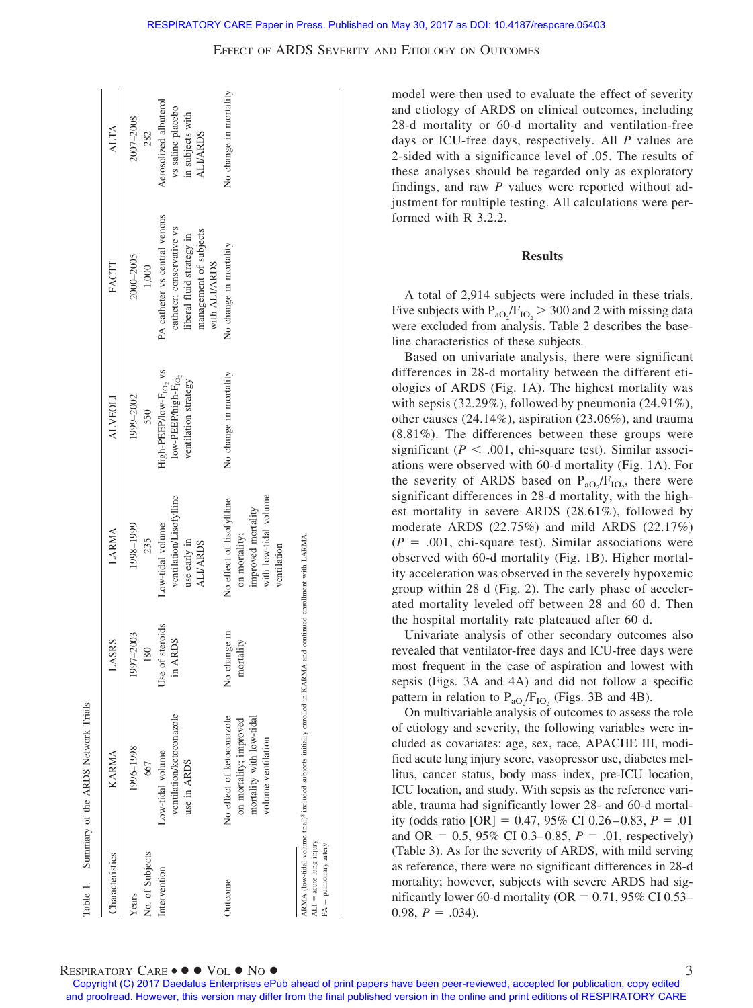| <b>Characteristics</b>                               | <b>KARMA</b>                                                                                                                 | ASRS                                | LARMA                                                                                                    | <b>ALVEOLI</b>                                                                                                  | FACTT                                                                                                                              | <b>ALTA</b>                                                                       |
|------------------------------------------------------|------------------------------------------------------------------------------------------------------------------------------|-------------------------------------|----------------------------------------------------------------------------------------------------------|-----------------------------------------------------------------------------------------------------------------|------------------------------------------------------------------------------------------------------------------------------------|-----------------------------------------------------------------------------------|
| No. of Subjects<br>Years                             | 1996-1998<br>667                                                                                                             | 1997-2003<br>180                    | 1998-1999<br>235                                                                                         | 1999-2002<br>550                                                                                                | 2000-2005<br>1,000                                                                                                                 | 2007-2008<br>282                                                                  |
| Intervention                                         | ventilation/ketoconazole<br>Low-tidal volume<br>use in ARDS                                                                  | of steroids<br><b>ARDS</b><br>Use c | ventilation/Lisofylline<br>Low-tidal volume<br>use early in<br><b>ALI/ARDS</b>                           | High-PEEP/low-F <sub>10</sub> , vs<br>$\mathbf{low}\text{-PEEP/high-F}_{\mathbf{IO}_2}$<br>ventilation strategy | PA catheter vs central venous<br>catheter; conservative vs<br>management of subjects<br>liberal fluid strategy in<br>with ALI/ARDS | Aerosolized albuterol<br>vs saline placebo<br>in subjects with<br><b>ALI/ARDS</b> |
| Jutcome                                              | No effect of ketoconazole<br>mortality with low-tidal<br>on mortality; improved<br>volume ventilation                        | No change in<br>mortality           | with low-tidal volume<br>No effect of lisofyllline<br>improved mortality<br>on mortality;<br>ventilation | No change in mortality                                                                                          | No change in mortality                                                                                                             | No change in mortality                                                            |
| $ALI = acute$ lung injury<br>$PA =$ pulmonary artery | ARMA (low-tidal volume trial) <sup>8</sup> included subjects initially enrolled in KARMA and continued enrollment with LARMA |                                     |                                                                                                          |                                                                                                                 |                                                                                                                                    |                                                                                   |

model were then used to evaluate the effect of severity and etiology of ARDS on clinical outcomes, including 28-d mortality or 60-d mortality and ventilation-free days or ICU-free days, respectively. All *P* values are 2-sided with a significance level of .05. The results of these analyses should be regarded only as exploratory findings, and raw *P* values were reported without adjustment for multiple testing. All calculations were performed with R 3.2.2.

## **Results**

A total of 2,914 subjects were included in these trials. Five subjects with  $P_{aO_2}/F_{IO_2}$  > 300 and 2 with missing data were excluded from analysis. Table 2 describes the baseline characteristics of these subjects.

Based on univariate analysis, there were significant differences in 28-d mortality between the different etiologies of ARDS (Fig. 1A). The highest mortality was with sepsis (32.29%), followed by pneumonia (24.91%), other causes (24.14%), aspiration (23.06%), and trauma (8.81%). The differences between these groups were significant ( $P < .001$ , chi-square test). Similar associations were observed with 60-d mortality (Fig. 1A). For the severity of ARDS based on  $P_{aO_2}/F_{IO_2}$ , there were significant differences in 28-d mortality, with the highest mortality in severe ARDS (28.61%), followed by moderate ARDS (22.75%) and mild ARDS (22.17%)  $(P = .001,$  chi-square test). Similar associations were observed with 60-d mortality (Fig. 1B). Higher mortality acceleration was observed in the severely hypoxemic group within 28 d (Fig. 2). The early phase of accelerated mortality leveled off between 28 and 60 d. Then the hospital mortality rate plateaued after 60 d.

Univariate analysis of other secondary outcomes also revealed that ventilator-free days and ICU-free days were most frequent in the case of aspiration and lowest with sepsis (Figs. 3A and 4A) and did not follow a specific pattern in relation to  $P_{aO_2}/F_{IO_2}$  (Figs. 3B and 4B).

On multivariable analysis of outcomes to assess the role of etiology and severity, the following variables were included as covariates: age, sex, race, APACHE III, modified acute lung injury score, vasopressor use, diabetes mellitus, cancer status, body mass index, pre-ICU location, ICU location, and study. With sepsis as the reference variable, trauma had significantly lower 28- and 60-d mortality (odds ratio  $[OR] = 0.47, 95\% \text{ CI } 0.26 - 0.83, P = .01$ and OR =  $0.5$ , 95% CI 0.3–0.85,  $P = .01$ , respectively) (Table 3). As for the severity of ARDS, with mild serving as reference, there were no significant differences in 28-d mortality; however, subjects with severe ARDS had significantly lower 60-d mortality ( $OR = 0.71$ , 95% CI 0.53–  $0.98, P = .034$ .

# $\mathsf{RESPIRATORY}$   $\mathsf{CARE} \bullet \bullet \bullet \mathsf{Vol} \bullet \mathsf{No} \bullet$

Table 1. Summary of the ARDS Network Trials

Table 1.

Summary of the ARDS Network Trials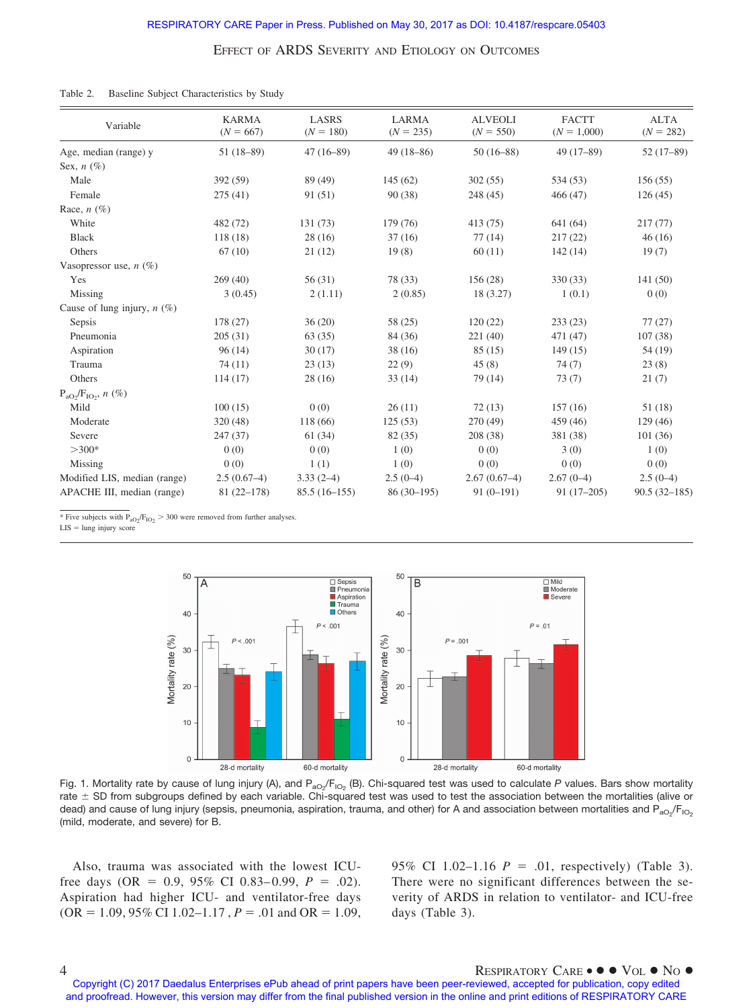### Table 2. Baseline Subject Characteristics by Study

| Variable                      | <b>KARMA</b><br>$(N = 667)$ | <b>LASRS</b><br>$(N = 180)$ | <b>LARMA</b><br>$(N = 235)$ | <b>ALVEOLI</b><br>$(N = 550)$ | <b>FACTT</b><br>$(N = 1,000)$ | <b>ALTA</b><br>$(N = 282)$ |
|-------------------------------|-----------------------------|-----------------------------|-----------------------------|-------------------------------|-------------------------------|----------------------------|
| Age, median (range) y         | $51(18-89)$                 | $47(16-89)$                 | $49(18 - 86)$               | $50(16-88)$                   | $49(17-89)$                   | $52(17-89)$                |
| Sex, $n$ (%)                  |                             |                             |                             |                               |                               |                            |
| Male                          | 392 (59)                    | 89 (49)                     | 145(62)                     | 302(55)                       | 534 (53)                      | 156(55)                    |
| Female                        | 275(41)                     | 91 (51)                     | 90(38)                      | 248 (45)                      | 466(47)                       | 126(45)                    |
| Race, $n$ (%)                 |                             |                             |                             |                               |                               |                            |
| White                         | 482 (72)                    | 131 (73)                    | 179 (76)                    | 413 (75)                      | 641 (64)                      | 217(77)                    |
| <b>Black</b>                  | 118(18)                     | 28(16)                      | 37(16)                      | 77(14)                        | 217(22)                       | 46(16)                     |
| Others                        | 67(10)                      | 21(12)                      | 19(8)                       | 60(11)                        | 142(14)                       | 19(7)                      |
| Vasopressor use, $n$ (%)      |                             |                             |                             |                               |                               |                            |
| Yes                           | 269(40)                     | 56(31)                      | 78 (33)                     | 156 (28)                      | 330 (33)                      | 141 (50)                   |
| Missing                       | 3(0.45)                     | 2(1.11)                     | 2(0.85)                     | 18 (3.27)                     | 1(0.1)                        | 0(0)                       |
| Cause of lung injury, $n$ (%) |                             |                             |                             |                               |                               |                            |
| Sepsis                        | 178 (27)                    | 36(20)                      | 58 (25)                     | 120(22)                       | 233(23)                       | 77(27)                     |
| Pneumonia                     | 205(31)                     | 63(35)                      | 84 (36)                     | 221(40)                       | 471 (47)                      | 107(38)                    |
| Aspiration                    | 96(14)                      | 30(17)                      | 38(16)                      | 85(15)                        | 149(15)                       | 54 (19)                    |
| Trauma                        | 74(11)                      | 23(13)                      | 22(9)                       | 45(8)                         | 74(7)                         | 23(8)                      |
| Others                        | 114(17)                     | 28(16)                      | 33(14)                      | 79 (14)                       | 73(7)                         | 21(7)                      |
| $P_{aO_2}/F_{IO_2}$ , n (%)   |                             |                             |                             |                               |                               |                            |
| Mild                          | 100(15)                     | 0(0)                        | 26(11)                      | 72(13)                        | 157(16)                       | 51 (18)                    |
| Moderate                      | 320 (48)                    | 118 (66)                    | 125(53)                     | 270 (49)                      | 459 (46)                      | 129(46)                    |
| Severe                        | 247 (37)                    | 61(34)                      | 82 (35)                     | 208 (38)                      | 381 (38)                      | 101(36)                    |
| $>300*$                       | 0(0)                        | 0(0)                        | 1(0)                        | 0(0)                          | 3(0)                          | 1(0)                       |
| Missing                       | 0(0)                        | 1(1)                        | 1(0)                        | 0(0)                          | 0(0)                          | 0(0)                       |
| Modified LIS, median (range)  | $2.5(0.67-4)$               | $3.33(2-4)$                 | $2.5(0-4)$                  | $2.67(0.67-4)$                | $2.67(0-4)$                   | $2.5(0-4)$                 |
| APACHE III, median (range)    | $81(22 - 178)$              | $85.5(16-155)$              | $86(30-195)$                | $91(0-191)$                   | $91(17-205)$                  | $90.5(32 - 185)$           |

\* Five subjects with  $P_{aO_2}/F_{IO_2}$  > 300 were removed from further analyses.

 $LIS =$  lung injury score



Fig. 1. Mortality rate by cause of lung injury (A), and P<sub>aO2</sub>/F<sub>lO2</sub> (B). Chi-squared test was used to calculate *P* values. Bars show mortality rate  $\pm$  SD from subgroups defined by each variable. Chi-squared test was used to test the association between the mortalities (alive or dead) and cause of lung injury (sepsis, pneumonia, aspiration, trauma, and other) for A and association between mortalities and P<sub>aO2</sub>/F<sub>iO2</sub> (mild, moderate, and severe) for B.

Also, trauma was associated with the lowest ICUfree days (OR =  $0.9, 95\%$  CI 0.83–0.99,  $P = .02$ ). Aspiration had higher ICU- and ventilator-free days  $(OR = 1.09, 95\% \text{ CI } 1.02 - 1.17, P = .01 \text{ and } OR = 1.09,$ 

95% CI 1.02–1.16  $P = .01$ , respectively) (Table 3). There were no significant differences between the severity of ARDS in relation to ventilator- and ICU-free days (Table 3).

## $\mathsf{P}_{\text{R}}$   $\mathsf{R}_{\text{L}}$   $\mathsf{R}_{\text{R}}$   $\mathsf{R}_{\text{R}}$   $\mathsf{R}_{\text{R}}$   $\mathsf{R}_{\text{R}}$   $\mathsf{R}_{\text{R}}$   $\mathsf{R}_{\text{R}}$   $\mathsf{R}_{\text{R}}$   $\mathsf{R}_{\text{R}}$   $\mathsf{R}_{\text{R}}$   $\mathsf{R}_{\text{R}}$   $\mathsf{R}_{\text{R}}$   $\mathsf{R}_{\text{R}}$   $\mathsf{R}_{\text{R}}$   $\mathsf{R}_{\text{R$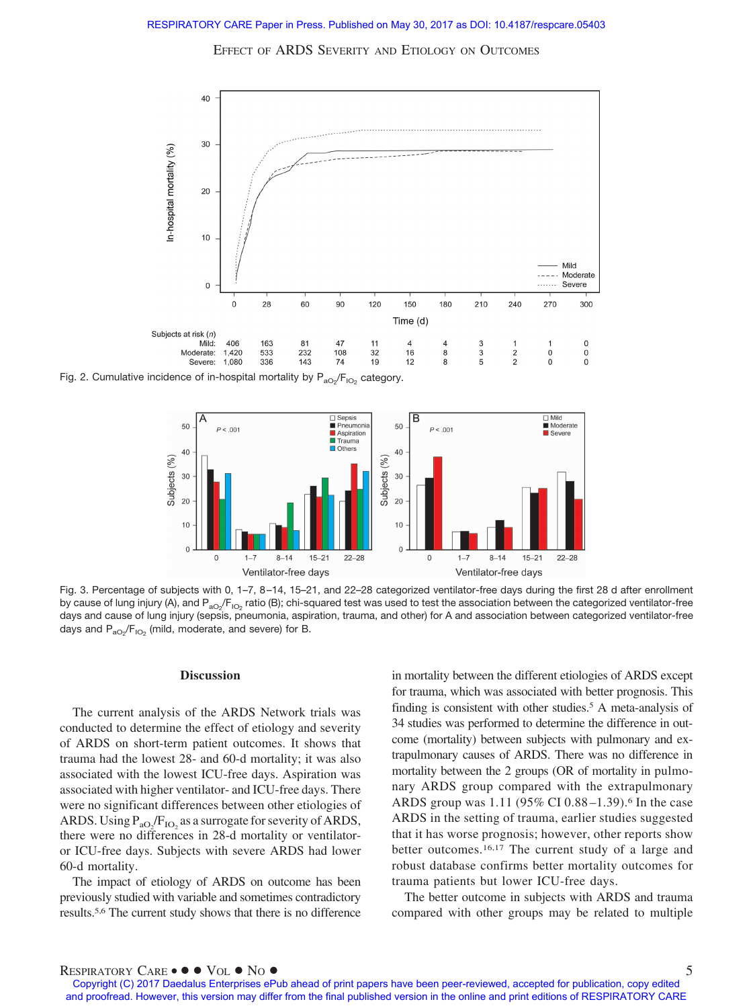

Fig. 2. Cumulative incidence of in-hospital mortality by  $\mathsf{P}_\mathsf{ao_2}/\mathsf{F}_\mathsf{IO_2}$  category.



Fig. 3. Percentage of subjects with 0, 1–7, 8 –14, 15–21, and 22–28 categorized ventilator-free days during the first 28 d after enrollment by cause of lung injury (A), and P<sub>aO2</sub>/F<sub>IO2</sub> ratio (B); chi-squared test was used to test the association between the categorized ventilator-free days and cause of lung injury (sepsis, pneumonia, aspiration, trauma, and other) for A and association between categorized ventilator-free days and  $\mathsf{P}_\mathsf{aO_2} \mathsf{/F}_\mathsf{IO_2}$  (mild, moderate, and severe) for B.

#### **Discussion**

The current analysis of the ARDS Network trials was conducted to determine the effect of etiology and severity of ARDS on short-term patient outcomes. It shows that trauma had the lowest 28- and 60-d mortality; it was also associated with the lowest ICU-free days. Aspiration was associated with higher ventilator- and ICU-free days. There were no significant differences between other etiologies of ARDS. Using  $P_{aO_2}/F_{IO_2}$  as a surrogate for severity of ARDS, there were no differences in 28-d mortality or ventilatoror ICU-free days. Subjects with severe ARDS had lower 60-d mortality.

The impact of etiology of ARDS on outcome has been previously studied with variable and sometimes contradictory results.5,6 The current study shows that there is no difference in mortality between the different etiologies of ARDS except for trauma, which was associated with better prognosis. This finding is consistent with other studies.<sup>5</sup> A meta-analysis of 34 studies was performed to determine the difference in outcome (mortality) between subjects with pulmonary and extrapulmonary causes of ARDS. There was no difference in mortality between the 2 groups (OR of mortality in pulmonary ARDS group compared with the extrapulmonary ARDS group was 1.11 (95% CI 0.88 –1.39).6 In the case ARDS in the setting of trauma, earlier studies suggested that it has worse prognosis; however, other reports show better outcomes.16,17 The current study of a large and robust database confirms better mortality outcomes for trauma patients but lower ICU-free days.

The better outcome in subjects with ARDS and trauma compared with other groups may be related to multiple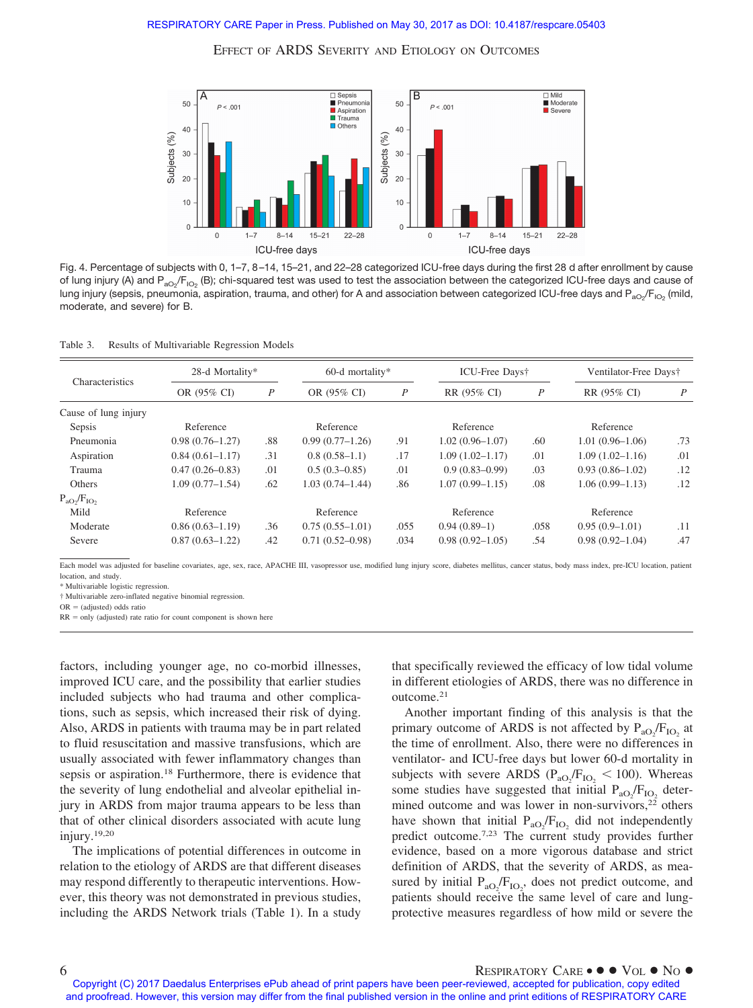

Fig. 4. Percentage of subjects with 0, 1–7, 8 –14, 15–21, and 22–28 categorized ICU-free days during the first 28 d after enrollment by cause of lung injury (A) and P<sub>aO2</sub>/F<sub>lO2</sub> (B); chi-squared test was used to test the association between the categorized ICU-free days and cause of lung injury (sepsis, pneumonia, aspiration, trauma, and other) for A and association between categorized ICU-free days and P $_{\rm aO_2}/\rm F_{iO_2}$  (mild, moderate, and severe) for B.

| Results of Multivariable Regression Models<br>Table 3. |  |  |
|--------------------------------------------------------|--|--|
|--------------------------------------------------------|--|--|

|                      | 28-d Mortality*     |                  | $60-d$ mortality*   |                  | ICU-Free Days†      |                  | Ventilator-Free Days† |     |
|----------------------|---------------------|------------------|---------------------|------------------|---------------------|------------------|-----------------------|-----|
| Characteristics      | OR (95% CI)         | $\boldsymbol{P}$ | OR (95% CI)         | $\boldsymbol{P}$ | RR (95% CI)         | $\boldsymbol{P}$ | RR (95% CI)           | P   |
| Cause of lung injury |                     |                  |                     |                  |                     |                  |                       |     |
| Sepsis               | Reference           |                  | Reference           |                  | Reference           |                  | Reference             |     |
| Pneumonia            | $0.98(0.76 - 1.27)$ | .88              | $0.99(0.77-1.26)$   | .91              | $1.02(0.96 - 1.07)$ | .60              | $1.01(0.96 - 1.06)$   | .73 |
| Aspiration           | $0.84(0.61 - 1.17)$ | .31              | $0.8(0.58-1.1)$     | .17              | $1.09(1.02 - 1.17)$ | .01              | $1.09(1.02 - 1.16)$   | .01 |
| Trauma               | $0.47(0.26 - 0.83)$ | .01              | $0.5(0.3-0.85)$     | .01              | $0.9(0.83 - 0.99)$  | .03              | $0.93(0.86 - 1.02)$   | .12 |
| <b>Others</b>        | $1.09(0.77 - 1.54)$ | .62              | $1.03(0.74 - 1.44)$ | .86              | $1.07(0.99 - 1.15)$ | .08              | $1.06(0.99 - 1.13)$   | .12 |
| $P_{aO_2}/F_{IO_2}$  |                     |                  |                     |                  |                     |                  |                       |     |
| Mild                 | Reference           |                  | Reference           |                  | Reference           |                  | Reference             |     |
| Moderate             | $0.86(0.63-1.19)$   | .36              | $0.75(0.55-1.01)$   | .055             | $0.94(0.89-1)$      | .058             | $0.95(0.9-1.01)$      | .11 |
| Severe               | $0.87(0.63 - 1.22)$ | .42              | $0.71(0.52 - 0.98)$ | .034             | $0.98(0.92 - 1.05)$ | .54              | $0.98(0.92 - 1.04)$   | .47 |
|                      |                     |                  |                     |                  |                     |                  |                       |     |

Each model was adjusted for baseline covariates, age, sex, race, APACHE III, vasopressor use, modified lung injury score, diabetes mellitus, cancer status, body mass index, pre-ICU location, patient location, and study.

\* Multivariable logistic regression.

† Multivariable zero-inflated negative binomial regression.

 $OR = (adjusted)$  odds ratio

 $RR = only$  (adjusted) rate ratio for count component is shown here

factors, including younger age, no co-morbid illnesses, improved ICU care, and the possibility that earlier studies included subjects who had trauma and other complications, such as sepsis, which increased their risk of dying. Also, ARDS in patients with trauma may be in part related to fluid resuscitation and massive transfusions, which are usually associated with fewer inflammatory changes than sepsis or aspiration.18 Furthermore, there is evidence that the severity of lung endothelial and alveolar epithelial injury in ARDS from major trauma appears to be less than that of other clinical disorders associated with acute lung injury.19,20

The implications of potential differences in outcome in relation to the etiology of ARDS are that different diseases may respond differently to therapeutic interventions. However, this theory was not demonstrated in previous studies, including the ARDS Network trials (Table 1). In a study

that specifically reviewed the efficacy of low tidal volume in different etiologies of ARDS, there was no difference in outcome.21

Another important finding of this analysis is that the primary outcome of ARDS is not affected by  $P_{aO_2}/F_{IO_2}$  at the time of enrollment. Also, there were no differences in ventilator- and ICU-free days but lower 60-d mortality in subjects with severe ARDS ( $P_{aO_2}/F_{IO_2}$  < 100). Whereas some studies have suggested that initial  $P_{aO_2}/F_{IO_2}$  determined outcome and was lower in non-survivors, $22$  others have shown that initial  $P_{aO_2}/F_{IO_2}$  did not independently predict outcome.7,23 The current study provides further evidence, based on a more vigorous database and strict definition of ARDS, that the severity of ARDS, as measured by initial  $P_{aO_2}/F_{IO_2}$ , does not predict outcome, and patients should receive the same level of care and lungprotective measures regardless of how mild or severe the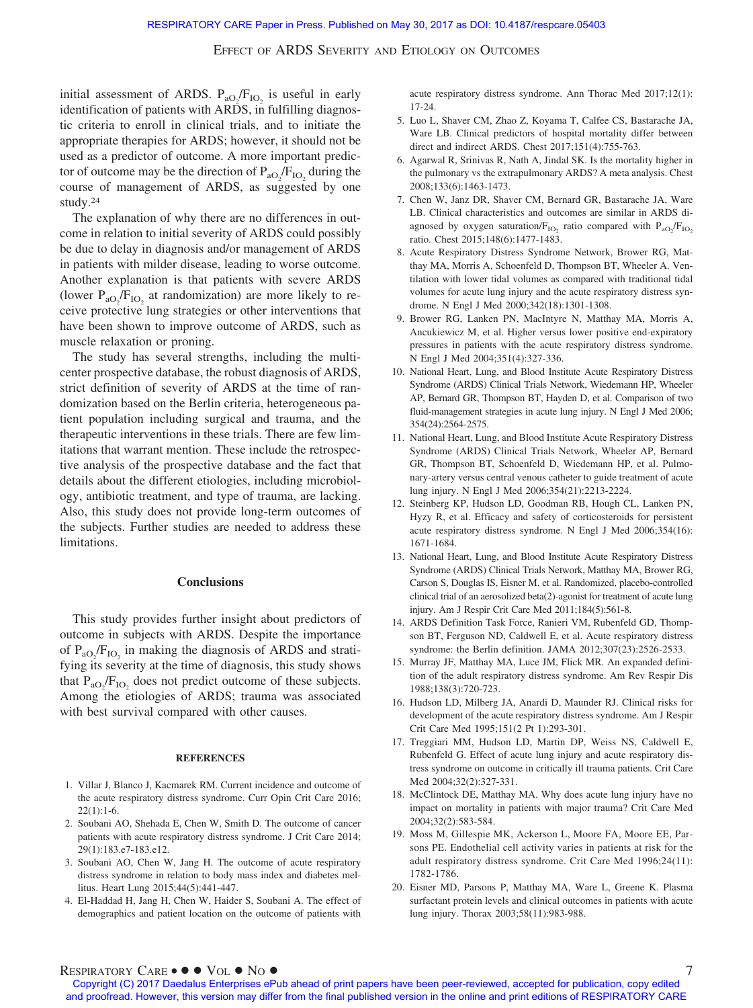initial assessment of ARDS.  $P_{aO_2}/F_{IO_2}$  is useful in early identification of patients with ARDS, in fulfilling diagnostic criteria to enroll in clinical trials, and to initiate the appropriate therapies for ARDS; however, it should not be used as a predictor of outcome. A more important predictor of outcome may be the direction of  $P_{aO_2}/F_{IO_2}$  during the course of management of ARDS, as suggested by one study.24

The explanation of why there are no differences in outcome in relation to initial severity of ARDS could possibly be due to delay in diagnosis and/or management of ARDS in patients with milder disease, leading to worse outcome. Another explanation is that patients with severe ARDS (lower  $P_{aO_2}/F_{IO_2}$  at randomization) are more likely to receive protective lung strategies or other interventions that have been shown to improve outcome of ARDS, such as muscle relaxation or proning.

The study has several strengths, including the multicenter prospective database, the robust diagnosis of ARDS, strict definition of severity of ARDS at the time of randomization based on the Berlin criteria, heterogeneous patient population including surgical and trauma, and the therapeutic interventions in these trials. There are few limitations that warrant mention. These include the retrospective analysis of the prospective database and the fact that details about the different etiologies, including microbiology, antibiotic treatment, and type of trauma, are lacking. Also, this study does not provide long-term outcomes of the subjects. Further studies are needed to address these limitations.

#### **Conclusions**

This study provides further insight about predictors of outcome in subjects with ARDS. Despite the importance of  $P_{aO_2}/F_{IO_2}$  in making the diagnosis of ARDS and stratifying its severity at the time of diagnosis, this study shows that  $P_{aO_2}/F_{IO_2}$  does not predict outcome of these subjects. Among the etiologies of ARDS; trauma was associated with best survival compared with other causes.

#### **REFERENCES**

- 1. Villar J, Blanco J, Kacmarek RM. Current incidence and outcome of the acute respiratory distress syndrome. Curr Opin Crit Care 2016;  $22(1):1-6.$
- 2. Soubani AO, Shehada E, Chen W, Smith D. The outcome of cancer patients with acute respiratory distress syndrome. J Crit Care 2014; 29(1):183.e7-183.e12.
- 3. Soubani AO, Chen W, Jang H. The outcome of acute respiratory distress syndrome in relation to body mass index and diabetes mellitus. Heart Lung 2015;44(5):441-447.
- 4. El-Haddad H, Jang H, Chen W, Haider S, Soubani A. The effect of demographics and patient location on the outcome of patients with

acute respiratory distress syndrome. Ann Thorac Med 2017;12(1): 17-24.

- 5. Luo L, Shaver CM, Zhao Z, Koyama T, Calfee CS, Bastarache JA, Ware LB. Clinical predictors of hospital mortality differ between direct and indirect ARDS. Chest 2017;151(4):755-763.
- 6. Agarwal R, Srinivas R, Nath A, Jindal SK. Is the mortality higher in the pulmonary vs the extrapulmonary ARDS? A meta analysis. Chest 2008;133(6):1463-1473.
- 7. Chen W, Janz DR, Shaver CM, Bernard GR, Bastarache JA, Ware LB. Clinical characteristics and outcomes are similar in ARDS diagnosed by oxygen saturation/ $F_{IO_2}$  ratio compared with  $P_{aO_2}/F_{IO_2}$ ratio. Chest 2015;148(6):1477-1483.
- 8. Acute Respiratory Distress Syndrome Network, Brower RG, Matthay MA, Morris A, Schoenfeld D, Thompson BT, Wheeler A. Ventilation with lower tidal volumes as compared with traditional tidal volumes for acute lung injury and the acute respiratory distress syndrome. N Engl J Med 2000;342(18):1301-1308.
- 9. Brower RG, Lanken PN, MacIntyre N, Matthay MA, Morris A, Ancukiewicz M, et al. Higher versus lower positive end-expiratory pressures in patients with the acute respiratory distress syndrome. N Engl J Med 2004;351(4):327-336.
- 10. National Heart, Lung, and Blood Institute Acute Respiratory Distress Syndrome (ARDS) Clinical Trials Network, Wiedemann HP, Wheeler AP, Bernard GR, Thompson BT, Hayden D, et al. Comparison of two fluid-management strategies in acute lung injury. N Engl J Med 2006; 354(24):2564-2575.
- 11. National Heart, Lung, and Blood Institute Acute Respiratory Distress Syndrome (ARDS) Clinical Trials Network, Wheeler AP, Bernard GR, Thompson BT, Schoenfeld D, Wiedemann HP, et al. Pulmonary-artery versus central venous catheter to guide treatment of acute lung injury. N Engl J Med 2006;354(21):2213-2224.
- 12. Steinberg KP, Hudson LD, Goodman RB, Hough CL, Lanken PN, Hyzy R, et al. Efficacy and safety of corticosteroids for persistent acute respiratory distress syndrome. N Engl J Med 2006;354(16): 1671-1684.
- 13. National Heart, Lung, and Blood Institute Acute Respiratory Distress Syndrome (ARDS) Clinical Trials Network, Matthay MA, Brower RG, Carson S, Douglas IS, Eisner M, et al. Randomized, placebo-controlled clinical trial of an aerosolized beta(2)-agonist for treatment of acute lung injury. Am J Respir Crit Care Med 2011;184(5):561-8.
- 14. ARDS Definition Task Force, Ranieri VM, Rubenfeld GD, Thompson BT, Ferguson ND, Caldwell E, et al. Acute respiratory distress syndrome: the Berlin definition. JAMA 2012;307(23):2526-2533.
- 15. Murray JF, Matthay MA, Luce JM, Flick MR. An expanded definition of the adult respiratory distress syndrome. Am Rev Respir Dis 1988;138(3):720-723.
- 16. Hudson LD, Milberg JA, Anardi D, Maunder RJ. Clinical risks for development of the acute respiratory distress syndrome. Am J Respir Crit Care Med 1995;151(2 Pt 1):293-301.
- 17. Treggiari MM, Hudson LD, Martin DP, Weiss NS, Caldwell E, Rubenfeld G. Effect of acute lung injury and acute respiratory distress syndrome on outcome in critically ill trauma patients. Crit Care Med 2004;32(2):327-331.
- 18. McClintock DE, Matthay MA. Why does acute lung injury have no impact on mortality in patients with major trauma? Crit Care Med 2004;32(2):583-584.
- 19. Moss M, Gillespie MK, Ackerson L, Moore FA, Moore EE, Parsons PE. Endothelial cell activity varies in patients at risk for the adult respiratory distress syndrome. Crit Care Med 1996;24(11): 1782-1786.
- 20. Eisner MD, Parsons P, Matthay MA, Ware L, Greene K. Plasma surfactant protein levels and clinical outcomes in patients with acute lung injury. Thorax 2003;58(11):983-988.

# $RESPIRATORY$   $CARE \bullet \bullet \bullet \text{ Vol.} \bullet \text{ No } \bullet$